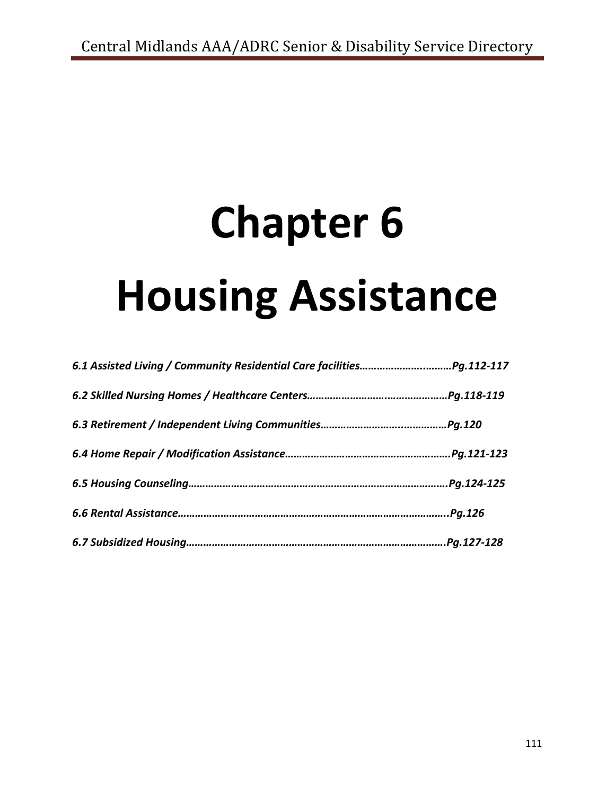# **Chapter 6 Housing Assistance**

| Pg.112-117. |
|-------------|
| Pg.118-119. |
| Pg.120      |
| Pg.121-123. |
| Pg.124-125  |
| Pg.126      |
| Pg.127-128  |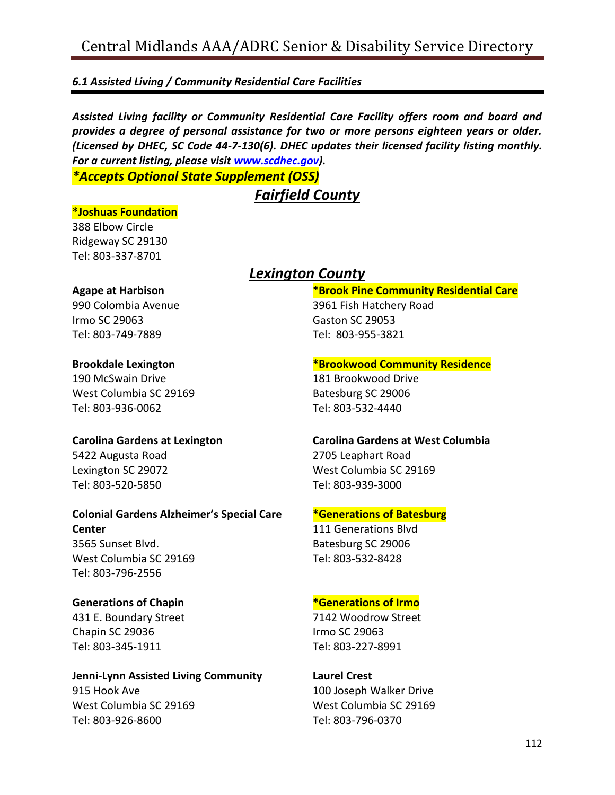# *6.1 Assisted Living / Community Residential Care Facilities*

*Assisted Living facility or Community Residential Care Facility offers room and board and provides a degree of personal assistance for two or more persons eighteen years or older. (Licensed by DHEC, SC Code 44-7-130(6). DHEC updates their licensed facility listing monthly. For a current listing, please visit [www.scdhec.gov\)](http://www.scdhec.gov/).*

*\*Accepts Optional State Supplement (OSS)*

# *Fairfield County*

#### **\*Joshuas Foundation**

388 Elbow Circle Ridgeway SC 29130 Tel: 803-337-8701

## **Agape at Harbison**

990 Colombia Avenue Irmo SC 29063 Tel: 803-749-7889

#### **Brookdale Lexington**

190 McSwain Drive West Columbia SC 29169 Tel: 803-936-0062

## **Carolina Gardens at Lexington**

5422 Augusta Road Lexington SC 29072 Tel: 803-520-5850

# **Colonial Gardens Alzheimer's Special Care Center** 3565 Sunset Blvd. West Columbia SC 29169

Tel: 803-796-2556

## **Generations of Chapin**

431 E. Boundary Street Chapin SC 29036 Tel: 803-345-1911

#### **Jenni-Lynn Assisted Living Community** 915 Hook Ave West Columbia SC 29169 Tel: 803-926-8600

# *Lexington County*

#### **\*Brook Pine Community Residential Care** 3961 Fish Hatchery Road

Gaston SC 29053 Tel: 803-955-3821

## **\*Brookwood Community Residence**

181 Brookwood Drive Batesburg SC 29006 Tel: 803-532-4440

# **Carolina Gardens at West Columbia** 2705 Leaphart Road West Columbia SC 29169 Tel: 803-939-3000

## **\*Generations of Batesburg**

111 Generations Blvd Batesburg SC 29006 Tel: 803-532-8428

## **\*Generations of Irmo**

7142 Woodrow Street Irmo SC 29063 Tel: 803-227-8991

# **Laurel Crest** 100 Joseph Walker Drive

West Columbia SC 29169 Tel: 803-796-0370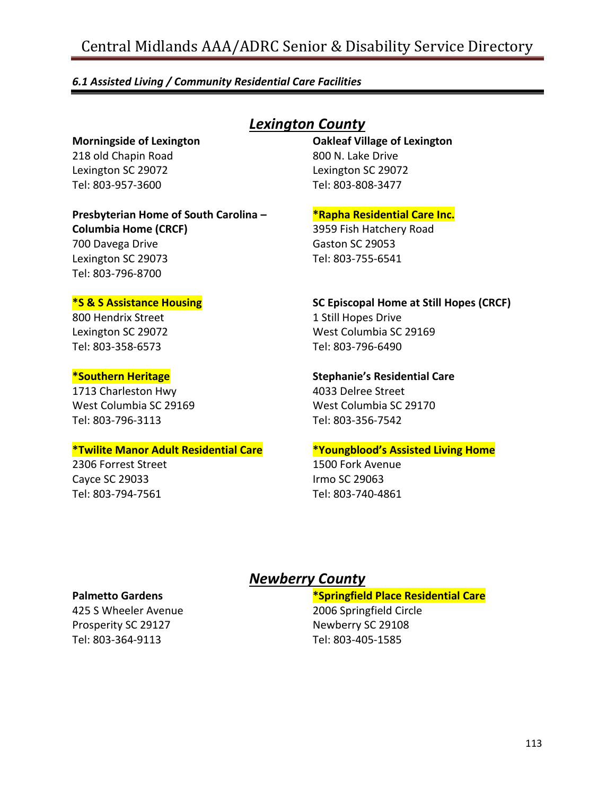#### *6.1 Assisted Living / Community Residential Care Facilities*

**Morningside of Lexington** 218 old Chapin Road Lexington SC 29072 Tel: 803-957-3600

**Presbyterian Home of South Carolina – Columbia Home (CRCF)**

700 Davega Drive Lexington SC 29073 Tel: 803-796-8700

#### **\*S & S Assistance Housing**

800 Hendrix Street Lexington SC 29072 Tel: 803-358-6573

#### **\*Southern Heritage**

1713 Charleston Hwy West Columbia SC 29169 Tel: 803-796-3113

#### **\*Twilite Manor Adult Residential Care**

2306 Forrest Street Cayce SC 29033 Tel: 803-794-7561

# *Lexington County*

**Oakleaf Village of Lexington** 800 N. Lake Drive Lexington SC 29072 Tel: 803-808-3477

**\*Rapha Residential Care Inc.**

3959 Fish Hatchery Road Gaston SC 29053 Tel: 803-755-6541

# **SC Episcopal Home at Still Hopes (CRCF)**

1 Still Hopes Drive West Columbia SC 29169 Tel: 803-796-6490

#### **Stephanie's Residential Care**

4033 Delree Street West Columbia SC 29170 Tel: 803-356-7542

#### **\*Youngblood's Assisted Living Home**

1500 Fork Avenue Irmo SC 29063 Tel: 803-740-4861

#### **Palmetto Gardens**

425 S Wheeler Avenue Prosperity SC 29127 Tel: 803-364-9113

# *Newberry County*

#### **\*Springfield Place Residential Care**

2006 Springfield Circle Newberry SC 29108 Tel: 803-405-1585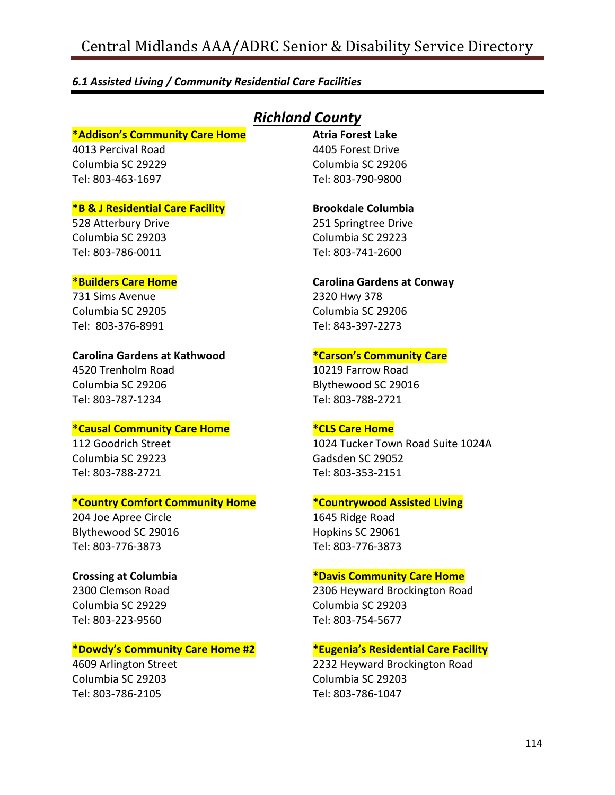#### *6.1 Assisted Living / Community Residential Care Facilities*

#### **\*Addison's Community Care Home**

4013 Percival Road Columbia SC 29229 Tel: 803-463-1697

#### **\*B & J Residential Care Facility**

528 Atterbury Drive Columbia SC 29203 Tel: 803-786-0011

#### **\*Builders Care Home**

731 Sims Avenue Columbia SC 29205 Tel: 803-376-8991

#### **Carolina Gardens at Kathwood**

4520 Trenholm Road Columbia SC 29206 Tel: 803-787-1234

#### **\*Causal Community Care Home**

112 Goodrich Street Columbia SC 29223 Tel: 803-788-2721

#### **\*Country Comfort Community Home**

204 Joe Apree Circle Blythewood SC 29016 Tel: 803-776-3873

#### **Crossing at Columbia**

2300 Clemson Road Columbia SC 29229 Tel: 803-223-9560

#### **\*Dowdy's Community Care Home #2**

4609 Arlington Street Columbia SC 29203 Tel: 803-786-2105

# *Richland County*

**Atria Forest Lake** 4405 Forest Drive Columbia SC 29206 Tel: 803-790-9800

#### **Brookdale Columbia**

251 Springtree Drive Columbia SC 29223 Tel: 803-741-2600

#### **Carolina Gardens at Conway**

2320 Hwy 378 Columbia SC 29206 Tel: 843-397-2273

#### **\*Carson's Community Care**

10219 Farrow Road Blythewood SC 29016 Tel: 803-788-2721

#### **\*CLS Care Home**

1024 Tucker Town Road Suite 1024A Gadsden SC 29052 Tel: 803-353-2151

#### **\*Countrywood Assisted Living**

1645 Ridge Road Hopkins SC 29061 Tel: 803-776-3873

#### **\*Davis Community Care Home**

2306 Heyward Brockington Road Columbia SC 29203 Tel: 803-754-5677

#### **\*Eugenia's Residential Care Facility**

2232 Heyward Brockington Road Columbia SC 29203 Tel: 803-786-1047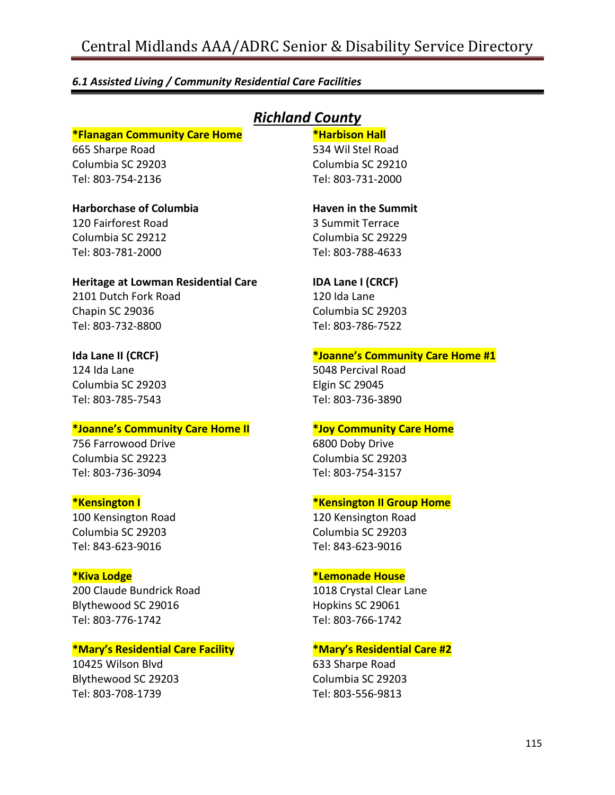#### *6.1 Assisted Living / Community Residential Care Facilities*

#### **\*Flanagan Community Care Home**

665 Sharpe Road Columbia SC 29203 Tel: 803-754-2136

# **Harborchase of Columbia**

120 Fairforest Road Columbia SC 29212 Tel: 803-781-2000

#### **Heritage at Lowman Residential Care** 2101 Dutch Fork Road

Chapin SC 29036 Tel: 803-732-8800

## **Ida Lane II (CRCF)**

124 Ida Lane Columbia SC 29203 Tel: 803-785-7543

#### **\*Joanne's Community Care Home II**

756 Farrowood Drive Columbia SC 29223 Tel: 803-736-3094

#### **\*Kensington I**

100 Kensington Road Columbia SC 29203 Tel: 843-623-9016

#### **\*Kiva Lodge**

200 Claude Bundrick Road Blythewood SC 29016 Tel: 803-776-1742

#### **\*Mary's Residential Care Facility**

10425 Wilson Blvd Blythewood SC 29203 Tel: 803-708-1739

# *Richland County*

#### **\*Harbison Hall**

534 Wil Stel Road Columbia SC 29210 Tel: 803-731-2000

# **Haven in the Summit** 3 Summit Terrace

Columbia SC 29229 Tel: 803-788-4633

#### **IDA Lane I (CRCF)**

120 Ida Lane Columbia SC 29203 Tel: 803-786-7522

## **\*Joanne's Community Care Home #1**

5048 Percival Road Elgin SC 29045 Tel: 803-736-3890

#### **\*Joy Community Care Home**

6800 Doby Drive Columbia SC 29203 Tel: 803-754-3157

#### **\*Kensington II Group Home**

120 Kensington Road Columbia SC 29203 Tel: 843-623-9016

#### **\*Lemonade House**

1018 Crystal Clear Lane Hopkins SC 29061 Tel: 803-766-1742

#### **\*Mary's Residential Care #2**

633 Sharpe Road Columbia SC 29203 Tel: 803-556-9813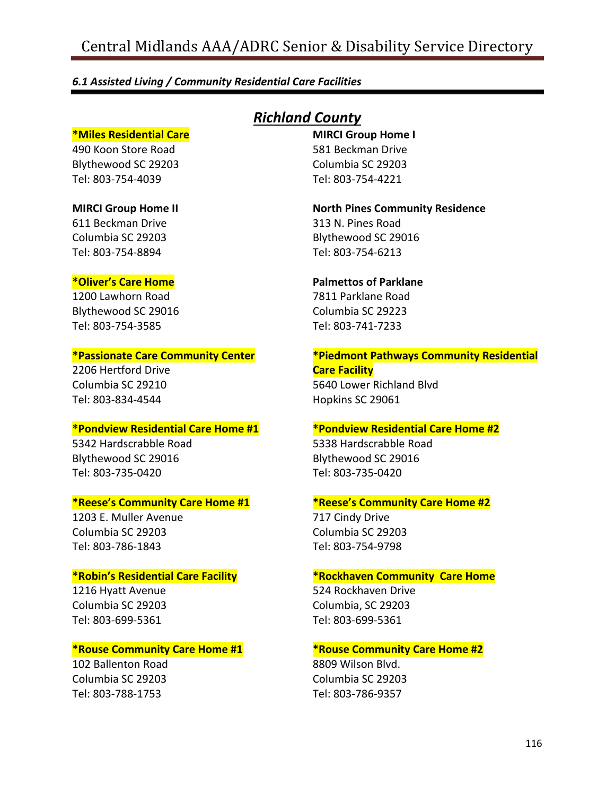#### *6.1 Assisted Living / Community Residential Care Facilities*

#### **\*Miles Residential Care**

490 Koon Store Road Blythewood SC 29203 Tel: 803-754-4039

# **MIRCI Group Home II**

611 Beckman Drive Columbia SC 29203 Tel: 803-754-8894

#### **\*Oliver's Care Home**

1200 Lawhorn Road Blythewood SC 29016 Tel: 803-754-3585

#### **\*Passionate Care Community Center**

2206 Hertford Drive Columbia SC 29210 Tel: 803-834-4544

#### **\*Pondview Residential Care Home #1**

5342 Hardscrabble Road Blythewood SC 29016 Tel: 803-735-0420

#### **\*Reese's Community Care Home #1**

1203 E. Muller Avenue Columbia SC 29203 Tel: 803-786-1843

#### **\*Robin's Residential Care Facility**

1216 Hyatt Avenue Columbia SC 29203 Tel: 803-699-5361

#### **\*Rouse Community Care Home #1**

102 Ballenton Road Columbia SC 29203 Tel: 803-788-1753

# *Richland County*

**MIRCI Group Home I** 581 Beckman Drive Columbia SC 29203 Tel: 803-754-4221

**North Pines Community Residence** 313 N. Pines Road Blythewood SC 29016 Tel: 803-754-6213

# **Palmettos of Parklane**

7811 Parklane Road Columbia SC 29223 Tel: 803-741-7233

#### **\*Piedmont Pathways Community Residential Care Facility**

5640 Lower Richland Blvd Hopkins SC 29061

#### **\*Pondview Residential Care Home #2**

5338 Hardscrabble Road Blythewood SC 29016 Tel: 803-735-0420

#### **\*Reese's Community Care Home #2**

717 Cindy Drive Columbia SC 29203 Tel: 803-754-9798

#### **\*Rockhaven Community Care Home**

524 Rockhaven Drive Columbia, SC 29203 Tel: 803-699-5361

#### **\*Rouse Community Care Home #2**

8809 Wilson Blvd. Columbia SC 29203 Tel: 803-786-9357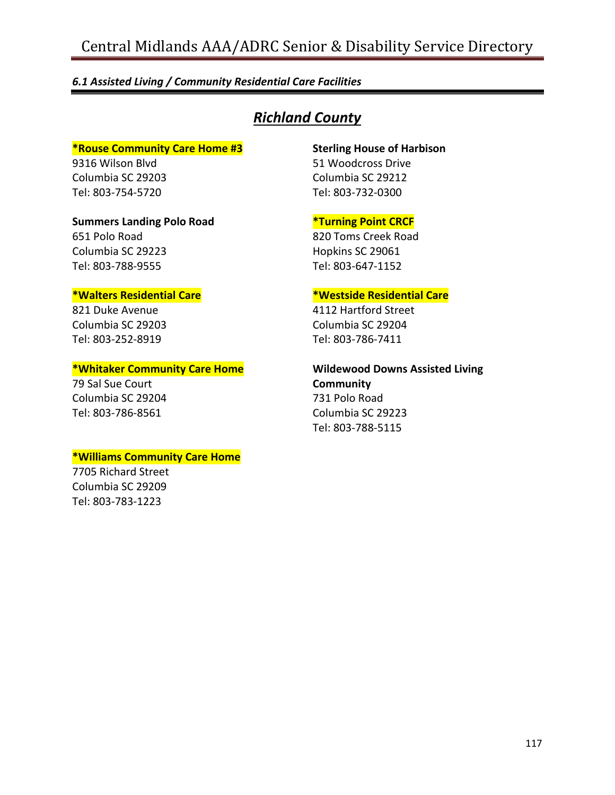#### *6.1 Assisted Living / Community Residential Care Facilities*

# *Richland County*

#### **\*Rouse Community Care Home #3**

9316 Wilson Blvd Columbia SC 29203 Tel: 803-754-5720

651 Polo Road Columbia SC 29223 Tel: 803-788-9555

#### **Sterling House of Harbison**

51 Woodcross Drive Columbia SC 29212 Tel: 803-732-0300

#### **\*Turning Point CRCF**

820 Toms Creek Road Hopkins SC 29061 Tel: 803-647-1152

## **\*Walters Residential Care**

**Summers Landing Polo Road**

821 Duke Avenue Columbia SC 29203 Tel: 803-252-8919

#### **\*Whitaker Community Care Home**

79 Sal Sue Court Columbia SC 29204 Tel: 803-786-8561

#### **\*Williams Community Care Home**

7705 Richard Street Columbia SC 29209 Tel: 803-783-1223

## **\*Westside Residential Care**

4112 Hartford Street Columbia SC 29204 Tel: 803-786-7411

**Wildewood Downs Assisted Living Community** 731 Polo Road Columbia SC 29223 Tel: 803-788-5115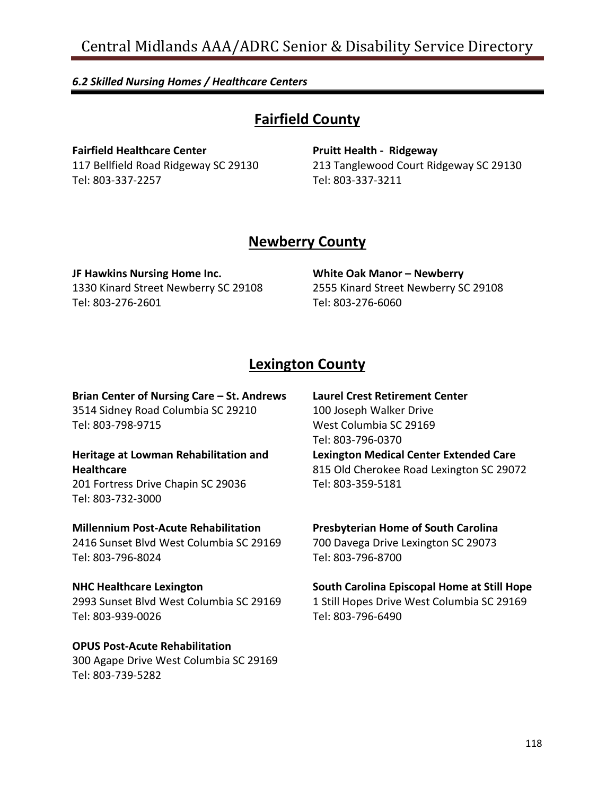# *6.2 Skilled Nursing Homes / Healthcare Centers*

# **Fairfield County**

**Fairfield Healthcare Center** 117 Bellfield Road Ridgeway SC 29130 Tel: 803-337-2257

**Pruitt Health - Ridgeway** 213 Tanglewood Court Ridgeway SC 29130 Tel: 803-337-3211

# **Newberry County**

**JF Hawkins Nursing Home Inc.** 1330 Kinard Street Newberry SC 29108 Tel: 803-276-2601

**White Oak Manor – Newberry** 2555 Kinard Street Newberry SC 29108 Tel: 803-276-6060

# **Lexington County**

**Brian Center of Nursing Care – St. Andrews** 3514 Sidney Road Columbia SC 29210 Tel: 803-798-9715

## **Heritage at Lowman Rehabilitation and Healthcare** 201 Fortress Drive Chapin SC 29036

Tel: 803-732-3000

## **Millennium Post-Acute Rehabilitation** 2416 Sunset Blvd West Columbia SC 29169 Tel: 803-796-8024

**NHC Healthcare Lexington** 2993 Sunset Blvd West Columbia SC 29169 Tel: 803-939-0026

# **OPUS Post-Acute Rehabilitation** 300 Agape Drive West Columbia SC 29169 Tel: 803-739-5282

**Laurel Crest Retirement Center** 100 Joseph Walker Drive West Columbia SC 29169 Tel: 803-796-0370 **Lexington Medical Center Extended Care** 815 Old Cherokee Road Lexington SC 29072 Tel: 803-359-5181

# **Presbyterian Home of South Carolina** 700 Davega Drive Lexington SC 29073

Tel: 803-796-8700

# **South Carolina Episcopal Home at Still Hope**

1 Still Hopes Drive West Columbia SC 29169 Tel: 803-796-6490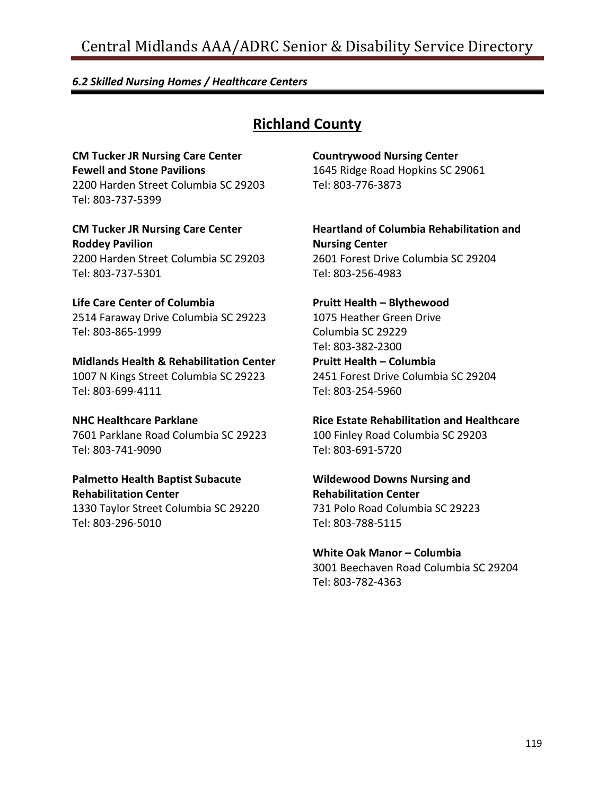#### *6.2 Skilled Nursing Homes / Healthcare Centers*

# **Richland County**

**CM Tucker JR Nursing Care Center Fewell and Stone Pavilions** 2200 Harden Street Columbia SC 29203 Tel: 803-737-5399

**CM Tucker JR Nursing Care Center Roddey Pavilion** 2200 Harden Street Columbia SC 29203 Tel: 803-737-5301

**Life Care Center of Columbia** 2514 Faraway Drive Columbia SC 29223 Tel: 803-865-1999

**Midlands Health & Rehabilitation Center** 1007 N Kings Street Columbia SC 29223 Tel: 803-699-4111

**NHC Healthcare Parklane** 7601 Parklane Road Columbia SC 29223 Tel: 803-741-9090

**Palmetto Health Baptist Subacute Rehabilitation Center**

1330 Taylor Street Columbia SC 29220 Tel: 803-296-5010

**Countrywood Nursing Center** 1645 Ridge Road Hopkins SC 29061 Tel: 803-776-3873

**Heartland of Columbia Rehabilitation and Nursing Center** 2601 Forest Drive Columbia SC 29204 Tel: 803-256-4983

**Pruitt Health – Blythewood** 1075 Heather Green Drive Columbia SC 29229 Tel: 803-382-2300 **Pruitt Health – Columbia** 2451 Forest Drive Columbia SC 29204 Tel: 803-254-5960

**Rice Estate Rehabilitation and Healthcare** 100 Finley Road Columbia SC 29203 Tel: 803-691-5720

**Wildewood Downs Nursing and Rehabilitation Center** 731 Polo Road Columbia SC 29223 Tel: 803-788-5115

**White Oak Manor – Columbia** 3001 Beechaven Road Columbia SC 29204 Tel: 803-782-4363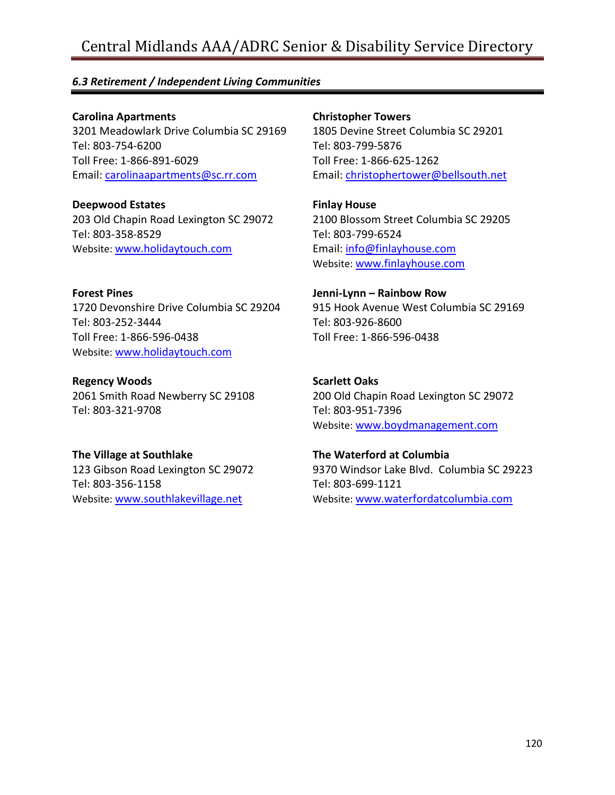## *6.3 Retirement / Independent Living Communities*

**Carolina Apartments** 3201 Meadowlark Drive Columbia SC 29169 Tel: 803-754-6200 Toll Free: 1-866-891-6029 Email: [carolinaapartments@sc.rr.com](mailto:carolinaapartments@sc.rr.com)

**Deepwood Estates** 203 Old Chapin Road Lexington SC 29072 Tel: 803-358-8529 Website: [www.holidaytouch.com](http://www.holidaytouch.com/)

**Forest Pines** 1720 Devonshire Drive Columbia SC 29204 Tel: 803-252-3444 Toll Free: 1-866-596-0438 Website: [www.holidaytouch.com](http://www.holidaytouch.com/)

**Regency Woods** 2061 Smith Road Newberry SC 29108 Tel: 803-321-9708

**The Village at Southlake** 123 Gibson Road Lexington SC 29072 Tel: 803-356-1158 Website: [www.southlakevillage.net](http://www.southlakevillage.net/)

**Christopher Towers**

1805 Devine Street Columbia SC 29201 Tel: 803-799-5876 Toll Free: 1-866-625-1262 Email: [christophertower@bellsouth.net](mailto:christophertower@bellsouth.net)

**Finlay House** 2100 Blossom Street Columbia SC 29205 Tel: 803-799-6524 Email: [info@finlayhouse.com](mailto:info@finlayhouse.com) Website: [www.finlayhouse.com](http://www.finlayhouse.com/)

**Jenni-Lynn – Rainbow Row** 915 Hook Avenue West Columbia SC 29169 Tel: 803-926-8600 Toll Free: 1-866-596-0438

**Scarlett Oaks** 200 Old Chapin Road Lexington SC 29072 Tel: 803-951-7396 Website: [www.boydmanagement.com](http://www.boydmanagement.com/)

**The Waterford at Columbia** 9370 Windsor Lake Blvd. Columbia SC 29223 Tel: 803-699-1121 Website: [www.waterfordatcolumbia.com](http://www.waterfordatcolumbia.com/)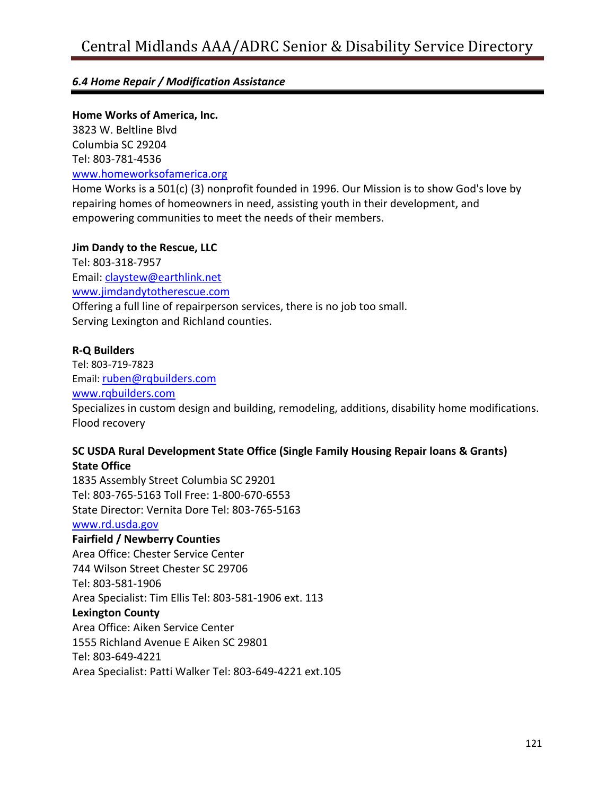# *6.4 Home Repair / Modification Assistance*

## **Home Works of America, Inc.**

3823 W. Beltline Blvd Columbia SC 29204 Tel: 803-781-4536 [www.homeworksofamerica.org](http://www.homeworksofamerica.org/)

Home Works is a 501(c) (3) nonprofit founded in 1996. Our Mission is to show God's love by repairing homes of homeowners in need, assisting youth in their development, and empowering communities to meet the needs of their members.

## **Jim Dandy to the Rescue, LLC**

Tel: 803-318-7957 Email: [claystew@earthlink.net](mailto:claystew@earthlink.net) [www.jimdandytotherescue.com](http://www.jimdandytotherescue.com/) Offering a full line of repairperson services, there is no job too small. Serving Lexington and Richland counties.

## **R-Q Builders**

Tel: 803-719-7823 Email: [ruben@rqbuilders.com](mailto:ruben@rqbuilders.com) [www.rqbuilders.com](http://www.rqbuilders.com/) Specializes in custom design and building, remodeling, additions, disability home modifications. Flood recovery

## **SC USDA Rural Development State Office (Single Family Housing Repair loans & Grants) State Office**

1835 Assembly Street Columbia SC 29201 Tel: 803-765-5163 Toll Free: 1-800-670-6553 State Director: Vernita Dore Tel: 803-765-5163 [www.rd.usda.gov](http://www.rd.usda.gov/)

# **Fairfield / Newberry Counties**

Area Office: Chester Service Center 744 Wilson Street Chester SC 29706 Tel: 803-581-1906 Area Specialist: Tim Ellis Tel: 803-581-1906 ext. 113 **Lexington County** Area Office: Aiken Service Center 1555 Richland Avenue E Aiken SC 29801 Tel: 803-649-4221 Area Specialist: Patti Walker Tel: 803-649-4221 ext.105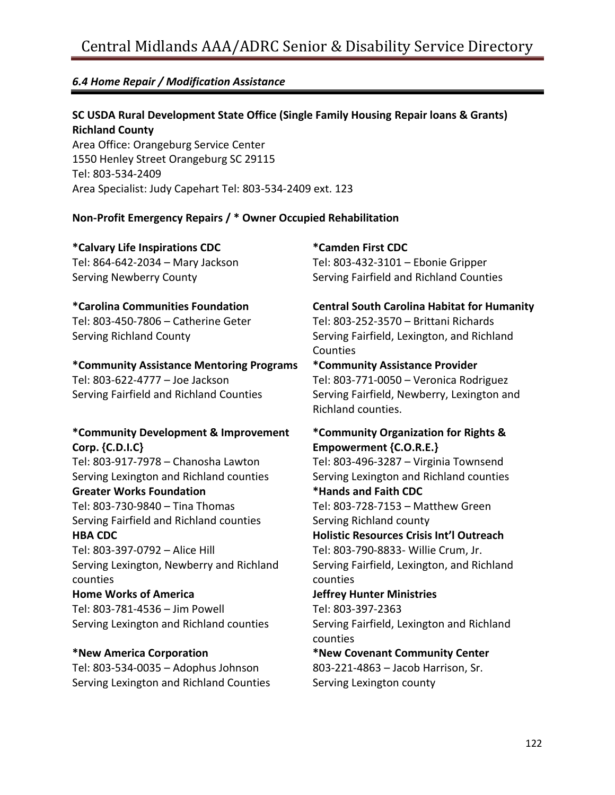# *6.4 Home Repair / Modification Assistance*

**SC USDA Rural Development State Office (Single Family Housing Repair loans & Grants) Richland County** Area Office: Orangeburg Service Center

1550 Henley Street Orangeburg SC 29115 Tel: 803-534-2409 Area Specialist: Judy Capehart Tel: 803-534-2409 ext. 123

## **Non-Profit Emergency Repairs / \* Owner Occupied Rehabilitation**

**\*Calvary Life Inspirations CDC** Tel: 864-642-2034 – Mary Jackson Serving Newberry County

## **\*Carolina Communities Foundation**

Tel: 803-450-7806 – Catherine Geter Serving Richland County

# **\*Community Assistance Mentoring Programs**

Tel: 803-622-4777 – Joe Jackson Serving Fairfield and Richland Counties

## **\*Community Development & Improvement Corp. {C.D.I.C}**

Tel: 803-917-7978 – Chanosha Lawton Serving Lexington and Richland counties

# **Greater Works Foundation**

Tel: 803-730-9840 – Tina Thomas Serving Fairfield and Richland counties **HBA CDC**

Tel: 803-397-0792 – Alice Hill Serving Lexington, Newberry and Richland counties

**Home Works of America** Tel: 803-781-4536 – Jim Powell Serving Lexington and Richland counties

**\*New America Corporation** Tel: 803-534-0035 – Adophus Johnson Serving Lexington and Richland Counties

**\*Camden First CDC** Tel: 803-432-3101 – Ebonie Gripper

Serving Fairfield and Richland Counties

**Central South Carolina Habitat for Humanity** Tel: 803-252-3570 – Brittani Richards

Serving Fairfield, Lexington, and Richland Counties

**\*Community Assistance Provider** Tel: 803-771-0050 – Veronica Rodriguez

Serving Fairfield, Newberry, Lexington and Richland counties.

## **\*Community Organization for Rights & Empowerment {C.O.R.E.}**

Tel: 803-496-3287 – Virginia Townsend Serving Lexington and Richland counties **\*Hands and Faith CDC** Tel: 803-728-7153 – Matthew Green Serving Richland county **Holistic Resources Crisis Int'l Outreach** Tel: 803-790-8833- Willie Crum, Jr. Serving Fairfield, Lexington, and Richland counties **Jeffrey Hunter Ministries** Tel: 803-397-2363 Serving Fairfield, Lexington and Richland counties

**\*New Covenant Community Center** 803-221-4863 – Jacob Harrison, Sr. Serving Lexington county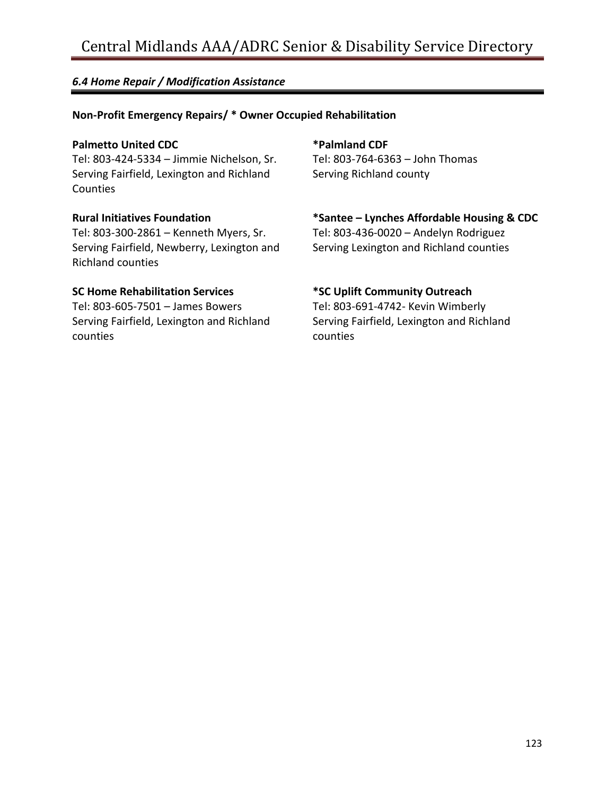# *6.4 Home Repair / Modification Assistance*

# **Non-Profit Emergency Repairs/ \* Owner Occupied Rehabilitation**

#### **Palmetto United CDC**

Tel: 803-424-5334 – Jimmie Nichelson, Sr. Serving Fairfield, Lexington and Richland **Counties** 

#### **Rural Initiatives Foundation**

Tel: 803-300-2861 – Kenneth Myers, Sr. Serving Fairfield, Newberry, Lexington and Richland counties

#### **SC Home Rehabilitation Services**

Tel: 803-605-7501 – James Bowers Serving Fairfield, Lexington and Richland counties

# **\*Palmland CDF**

Tel: 803-764-6363 – John Thomas Serving Richland county

## **\*Santee – Lynches Affordable Housing & CDC**

Tel: 803-436-0020 – Andelyn Rodriguez Serving Lexington and Richland counties

## **\*SC Uplift Community Outreach**

Tel: 803-691-4742- Kevin Wimberly Serving Fairfield, Lexington and Richland counties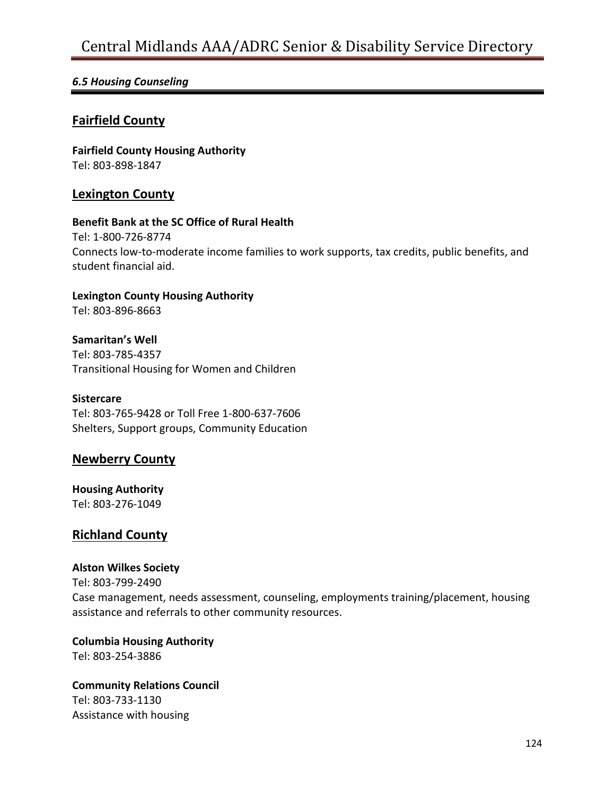## *6.5 Housing Counseling*

# **Fairfield County**

**Fairfield County Housing Authority** Tel: 803-898-1847

## **Lexington County**

#### **Benefit Bank at the SC Office of Rural Health**

Tel: 1-800-726-8774 Connects low-to-moderate income families to work supports, tax credits, public benefits, and student financial aid.

**Lexington County Housing Authority** Tel: 803-896-8663

**Samaritan's Well** Tel: 803-785-4357 Transitional Housing for Women and Children

**Sistercare** Tel: 803-765-9428 or Toll Free 1-800-637-7606 Shelters, Support groups, Community Education

# **Newberry County**

**Housing Authority** Tel: 803-276-1049

## **Richland County**

#### **Alston Wilkes Society**

Tel: 803-799-2490 Case management, needs assessment, counseling, employments training/placement, housing assistance and referrals to other community resources.

**Columbia Housing Authority** Tel: 803-254-3886

**Community Relations Council** Tel: 803-733-1130 Assistance with housing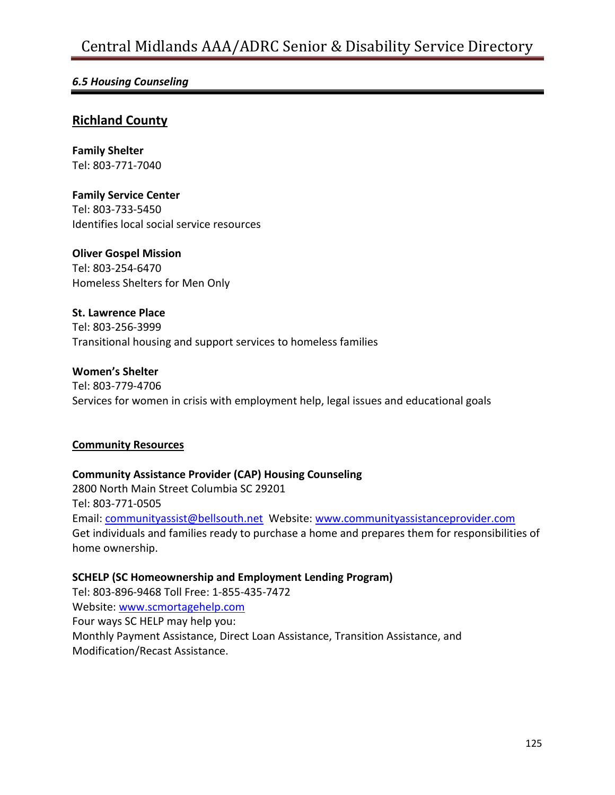# *6.5 Housing Counseling*

# **Richland County**

**Family Shelter** Tel: 803-771-7040

**Family Service Center** Tel: 803-733-5450 Identifies local social service resources

**Oliver Gospel Mission** Tel: 803-254-6470 Homeless Shelters for Men Only

**St. Lawrence Place** Tel: 803-256-3999 Transitional housing and support services to homeless families

#### **Women's Shelter**

Tel: 803-779-4706 Services for women in crisis with employment help, legal issues and educational goals

#### **Community Resources**

**Community Assistance Provider (CAP) Housing Counseling** 2800 North Main Street Columbia SC 29201 Tel: 803-771-0505 Email: [communityassist@bellsouth.net](mailto:communityassist@bellsouth.net) Website: [www.communityassistanceprovider.com](http://www.communityassistanceprovider.com/) Get individuals and families ready to purchase a home and prepares them for responsibilities of home ownership.

**SCHELP (SC Homeownership and Employment Lending Program)** Tel: 803-896-9468 Toll Free: 1-855-435-7472 Website: [www.scmortagehelp.com](http://www.scmortagehelp.com/) Four ways SC HELP may help you: Monthly Payment Assistance, Direct Loan Assistance, Transition Assistance, and Modification/Recast Assistance.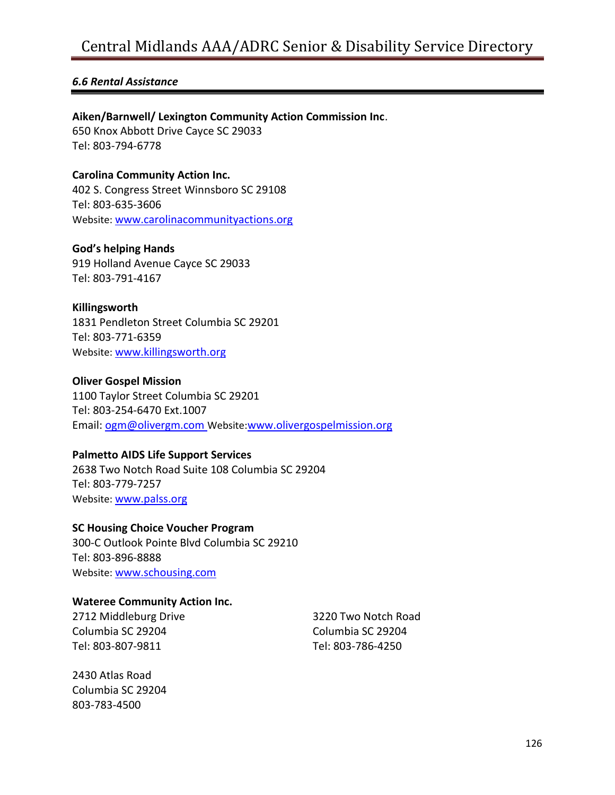## *6.6 Rental Assistance*

#### **Aiken/Barnwell/ Lexington Community Action Commission Inc**.

650 Knox Abbott Drive Cayce SC 29033 Tel: 803-794-6778

**Carolina Community Action Inc.** 402 S. Congress Street Winnsboro SC 29108 Tel: 803-635-3606 Website: [www.carolinacommunityactions.org](http://www.carolinacommunityactions.org/)

**God's helping Hands**

919 Holland Avenue Cayce SC 29033 Tel: 803-791-4167

#### **Killingsworth**

1831 Pendleton Street Columbia SC 29201 Tel: 803-771-6359 Website: [www.killingsworth.org](http://www.killingsworth.org/)

#### **Oliver Gospel Mission**

1100 Taylor Street Columbia SC 29201 Tel: 803-254-6470 Ext.1007 Email: [ogm@olivergm.com](mailto:ogm@olivergm.com) Website:[www.olivergospelmission.org](http://www.olivergospelmission.org/)

#### **Palmetto AIDS Life Support Services**

2638 Two Notch Road Suite 108 Columbia SC 29204 Tel: 803-779-7257 Website: [www.palss.org](http://www.palss.org/)

#### **SC Housing Choice Voucher Program**

300-C Outlook Pointe Blvd Columbia SC 29210 Tel: 803-896-8888 Website: [www.schousing.com](http://www.schousing.com/)

#### **Wateree Community Action Inc.**

2712 Middleburg Drive Columbia SC 29204 Tel: 803-807-9811

2430 Atlas Road Columbia SC 29204 803-783-4500

3220 Two Notch Road Columbia SC 29204 Tel: 803-786-4250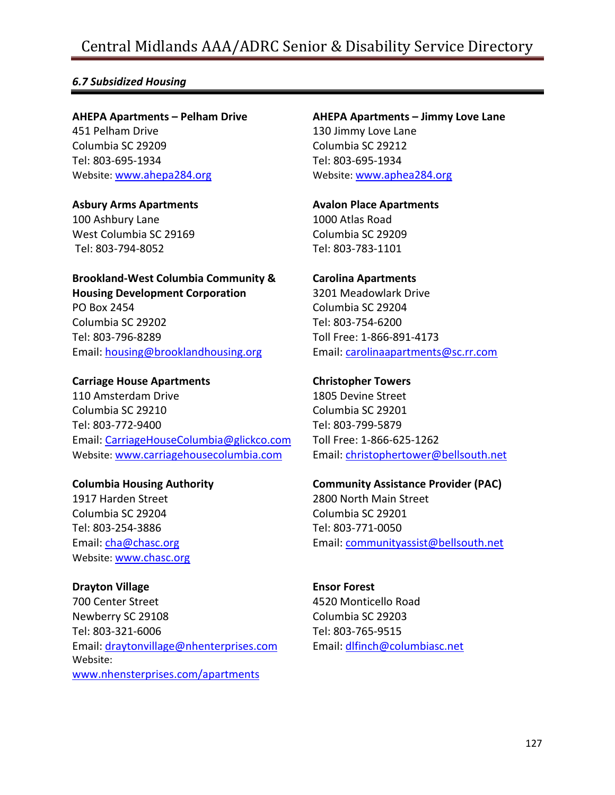# *6.7 Subsidized Housing*

**AHEPA Apartments – Pelham Drive**

451 Pelham Drive Columbia SC 29209 Tel: 803-695-1934 Website: [www.ahepa284.org](http://www.ahepa284.org/)

**Asbury Arms Apartments** 100 Ashbury Lane

West Columbia SC 29169 Tel: 803-794-8052

**Brookland-West Columbia Community & Housing Development Corporation** PO Box 2454 Columbia SC 29202

Tel: 803-796-8289 Email: [housing@brooklandhousing.org](mailto:housing@brooklandhousing.org)

**Carriage House Apartments**

110 Amsterdam Drive Columbia SC 29210 Tel: 803-772-9400 Email: [CarriageHouseColumbia@glickco.com](mailto:CarriageHouseColumbia@glickco.com) Website: [www.carriagehousecolumbia.com](http://www.carriagehousecolumbia.com/)

**Columbia Housing Authority**

1917 Harden Street Columbia SC 29204 Tel: 803-254-3886 Email: [cha@chasc.org](mailto:cha@chasc.org) Website: [www.chasc.org](http://www.chasc.org/)

**Drayton Village** 700 Center Street Newberry SC 29108 Tel: 803-321-6006 Email: [draytonvillage@nhenterprises.com](mailto:draytonvillage@nhenterprises.com) Website: [www.nhensterprises.com/apartments](http://www.nhensterprises.com/apartments)

**AHEPA Apartments – Jimmy Love Lane** 130 Jimmy Love Lane Columbia SC 29212

Tel: 803-695-1934 Website: [www.aphea284.org](http://www.aphea284.org/)

**Avalon Place Apartments** 1000 Atlas Road Columbia SC 29209 Tel: 803-783-1101

**Carolina Apartments** 3201 Meadowlark Drive Columbia SC 29204 Tel: 803-754-6200 Toll Free: 1-866-891-4173 Email: [carolinaapartments@sc.rr.com](mailto:carolinaapartments@sc.rr.com)

**Christopher Towers** 1805 Devine Street Columbia SC 29201 Tel: 803-799-5879 Toll Free: 1-866-625-1262 Email: [christophertower@bellsouth.net](mailto:christophertower@bellsouth.net)

**Community Assistance Provider (PAC)** 2800 North Main Street Columbia SC 29201 Tel: 803-771-0050 Email: [communityassist@bellsouth.net](mailto:communityassist@bellsouth.net)

**Ensor Forest** 4520 Monticello Road Columbia SC 29203 Tel: 803-765-9515 Email: [dlfinch@columbiasc.net](mailto:dlfinch@columbiasc.net)